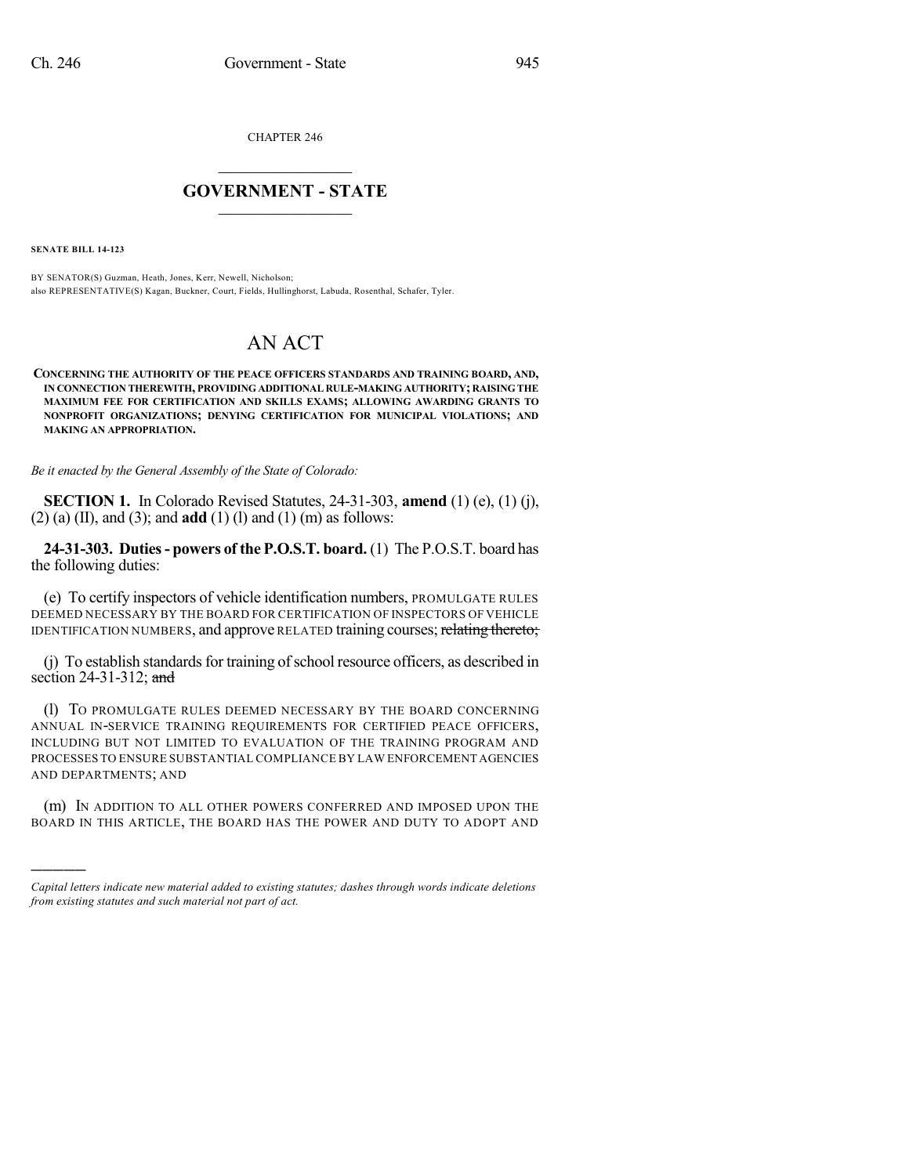CHAPTER 246

## $\mathcal{L}_\text{max}$  . The set of the set of the set of the set of the set of the set of the set of the set of the set of the set of the set of the set of the set of the set of the set of the set of the set of the set of the set **GOVERNMENT - STATE**  $\_$   $\_$   $\_$   $\_$   $\_$   $\_$   $\_$   $\_$   $\_$

**SENATE BILL 14-123**

)))))

BY SENATOR(S) Guzman, Heath, Jones, Kerr, Newell, Nicholson; also REPRESENTATIVE(S) Kagan, Buckner, Court, Fields, Hullinghorst, Labuda, Rosenthal, Schafer, Tyler.

## AN ACT

**CONCERNING THE AUTHORITY OF THE PEACE OFFICERS STANDARDS AND TRAINING BOARD, AND, IN CONNECTION THEREWITH, PROVIDING ADDITIONAL RULE-MAKING AUTHORITY; RAISINGTHE MAXIMUM FEE FOR CERTIFICATION AND SKILLS EXAMS; ALLOWING AWARDING GRANTS TO NONPROFIT ORGANIZATIONS; DENYING CERTIFICATION FOR MUNICIPAL VIOLATIONS; AND MAKING AN APPROPRIATION.**

*Be it enacted by the General Assembly of the State of Colorado:*

**SECTION 1.** In Colorado Revised Statutes, 24-31-303, **amend** (1) (e), (1) (j), (2) (a) (II), and (3); and **add** (1) (l) and (1) (m) as follows:

**24-31-303. Duties- powers of the P.O.S.T. board.** (1) The P.O.S.T. board has the following duties:

(e) To certify inspectors of vehicle identification numbers, PROMULGATE RULES DEEMED NECESSARY BY THE BOARD FOR CERTIFICATION OF INSPECTORS OF VEHICLE IDENTIFICATION NUMBERS, and approve RELATED training courses; relating thereto;

(j) To establish standards for training of school resource officers, as described in section 24-31-312; and

(l) TO PROMULGATE RULES DEEMED NECESSARY BY THE BOARD CONCERNING ANNUAL IN-SERVICE TRAINING REQUIREMENTS FOR CERTIFIED PEACE OFFICERS, INCLUDING BUT NOT LIMITED TO EVALUATION OF THE TRAINING PROGRAM AND PROCESSES TO ENSURE SUBSTANTIAL COMPLIANCE BY LAW ENFORCEMENT AGENCIES AND DEPARTMENTS; AND

(m) IN ADDITION TO ALL OTHER POWERS CONFERRED AND IMPOSED UPON THE BOARD IN THIS ARTICLE, THE BOARD HAS THE POWER AND DUTY TO ADOPT AND

*Capital letters indicate new material added to existing statutes; dashes through words indicate deletions from existing statutes and such material not part of act.*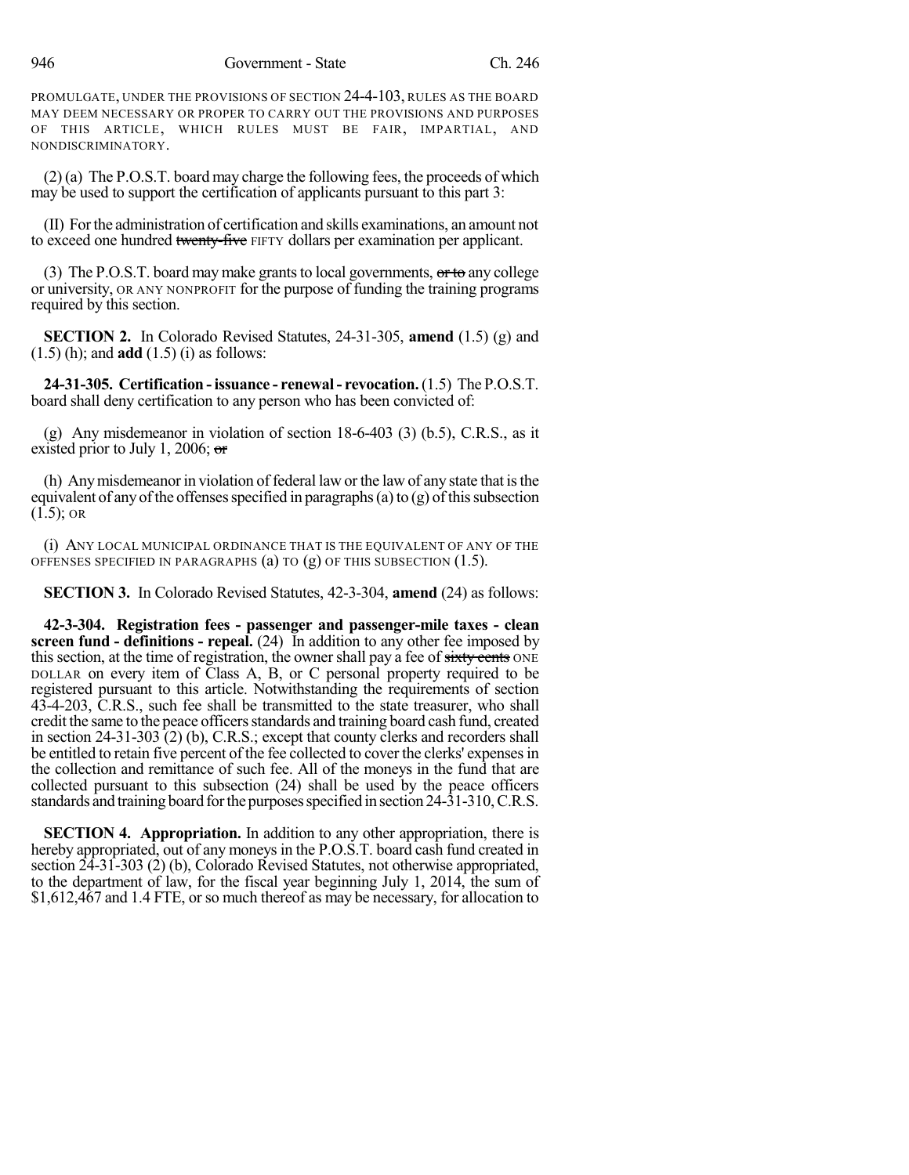PROMULGATE, UNDER THE PROVISIONS OF SECTION 24-4-103, RULES AS THE BOARD MAY DEEM NECESSARY OR PROPER TO CARRY OUT THE PROVISIONS AND PURPOSES OF THIS ARTICLE, WHICH RULES MUST BE FAIR, IMPARTIAL, AND NONDISCRIMINATORY.

(2) (a) The P.O.S.T. board may charge the following fees, the proceeds of which may be used to support the certification of applicants pursuant to this part 3:

(II) Forthe administration of certification and skills examinations, an amount not to exceed one hundred twenty-five FIFTY dollars per examination per applicant.

(3) The P.O.S.T. board may make grants to local governments,  $\sigma$ rto any college or university, OR ANY NONPROFIT for the purpose of funding the training programs required by this section.

**SECTION 2.** In Colorado Revised Statutes, 24-31-305, **amend** (1.5) (g) and (1.5) (h); and **add** (1.5) (i) as follows:

**24-31-305. Certification -issuance - renewal- revocation.**(1.5) The P.O.S.T. board shall deny certification to any person who has been convicted of:

(g) Any misdemeanor in violation of section 18-6-403 (3) (b.5), C.R.S., as it existed prior to July 1, 2006;  $\sigma$ 

(h) Any misdemeanor in violation of federal law or the law of any state that is the equivalent of any of the offenses specified in paragraphs (a) to  $(g)$  of this subsection  $(1.5)$ ; OR

(i) ANY LOCAL MUNICIPAL ORDINANCE THAT IS THE EQUIVALENT OF ANY OF THE OFFENSES SPECIFIED IN PARAGRAPHS (a) TO (g) OF THIS SUBSECTION (1.5).

**SECTION 3.** In Colorado Revised Statutes, 42-3-304, **amend** (24) as follows:

**42-3-304. Registration fees - passenger and passenger-mile taxes - clean screen fund - definitions - repeal.** (24) In addition to any other fee imposed by this section, at the time of registration, the owner shall pay a fee of sixty cents ONE DOLLAR on every item of Class A, B, or C personal property required to be registered pursuant to this article. Notwithstanding the requirements of section 43-4-203, C.R.S., such fee shall be transmitted to the state treasurer, who shall credit the same to the peace officers standards and training board cash fund, created in section 24-31-303 (2) (b), C.R.S.; except that county clerks and recorders shall be entitled to retain five percent of the fee collected to cover the clerks' expenses in the collection and remittance of such fee. All of the moneys in the fund that are collected pursuant to this subsection (24) shall be used by the peace officers standards and training board forthe purposesspecified in section 24-31-310,C.R.S.

**SECTION 4. Appropriation.** In addition to any other appropriation, there is hereby appropriated, out of any moneys in the P.O.S.T. board cash fund created in section 24-31-303 (2) (b), Colorado Revised Statutes, not otherwise appropriated, to the department of law, for the fiscal year beginning July 1, 2014, the sum of \$1,612,467 and 1.4 FTE, or so much thereof as may be necessary, for allocation to